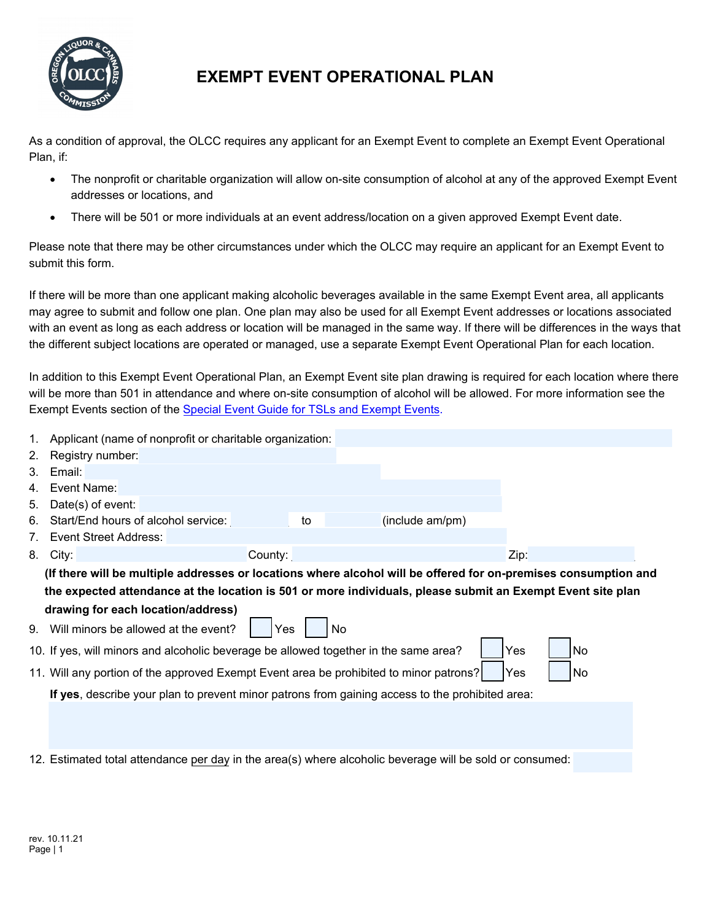

## **EXEMPT EVENT OPERATIONAL PLAN**

As a condition of approval, the OLCC requires any applicant for an Exempt Event to complete an Exempt Event Operational Plan, if:

- The nonprofit or charitable organization will allow on-site consumption of alcohol at any of the approved Exempt Event addresses or locations, and
- There will be 501 or more individuals at an event address/location on a given approved Exempt Event date.

Please note that there may be other circumstances under which the OLCC may require an applicant for an Exempt Event to submit this form.

If there will be more than one applicant making alcoholic beverages available in the same Exempt Event area, all applicants may agree to submit and follow one plan. One plan may also be used for all Exempt Event addresses or locations associated with an event as long as each address or location will be managed in the same way. If there will be differences in the ways that the different subject locations are operated or managed, use a separate Exempt Event Operational Plan for each location.

In addition to this Exempt Event Operational Plan, an Exempt Event site plan drawing is required for each location where there will be more than 501 in attendance and where on-site consumption of alcohol will be allowed. For more information see the Exempt Events section of the [Special Event Guide for TSLs and Exempt Events](https://www.oregon.gov/olcc/lic/Docs/Special-Events-Guide-TSLs-and-Exempt-Events.pdf).

| 1.                                                                                                | Applicant (name of nonprofit or charitable organization:                                                                                          |  |  |  |  |
|---------------------------------------------------------------------------------------------------|---------------------------------------------------------------------------------------------------------------------------------------------------|--|--|--|--|
| 2.                                                                                                | Registry number:                                                                                                                                  |  |  |  |  |
| 3.                                                                                                | Email:                                                                                                                                            |  |  |  |  |
| 4.                                                                                                | Event Name:                                                                                                                                       |  |  |  |  |
| 5.                                                                                                | Date(s) of event:                                                                                                                                 |  |  |  |  |
| 6.                                                                                                | (include am/pm)<br>Start/End hours of alcohol service:<br>to                                                                                      |  |  |  |  |
| 7.                                                                                                | <b>Event Street Address:</b>                                                                                                                      |  |  |  |  |
| 8.                                                                                                | City:<br>Zip:<br>County:                                                                                                                          |  |  |  |  |
|                                                                                                   | (If there will be multiple addresses or locations where alcohol will be offered for on-premises consumption and                                   |  |  |  |  |
|                                                                                                   | the expected attendance at the location is 501 or more individuals, please submit an Exempt Event site plan<br>drawing for each location/address) |  |  |  |  |
|                                                                                                   |                                                                                                                                                   |  |  |  |  |
| 9.                                                                                                | Will minors be allowed at the event?<br>No<br>Yes                                                                                                 |  |  |  |  |
| Yes<br>No<br>10. If yes, will minors and alcoholic beverage be allowed together in the same area? |                                                                                                                                                   |  |  |  |  |
|                                                                                                   | 11. Will any portion of the approved Exempt Event area be prohibited to minor patrons?<br>No.<br>Yes                                              |  |  |  |  |
|                                                                                                   | If yes, describe your plan to prevent minor patrons from gaining access to the prohibited area:                                                   |  |  |  |  |
|                                                                                                   |                                                                                                                                                   |  |  |  |  |
|                                                                                                   |                                                                                                                                                   |  |  |  |  |
|                                                                                                   | 12. Estimated total attendance per day in the area(s) where alcoholic beverage will be sold or consumed:                                          |  |  |  |  |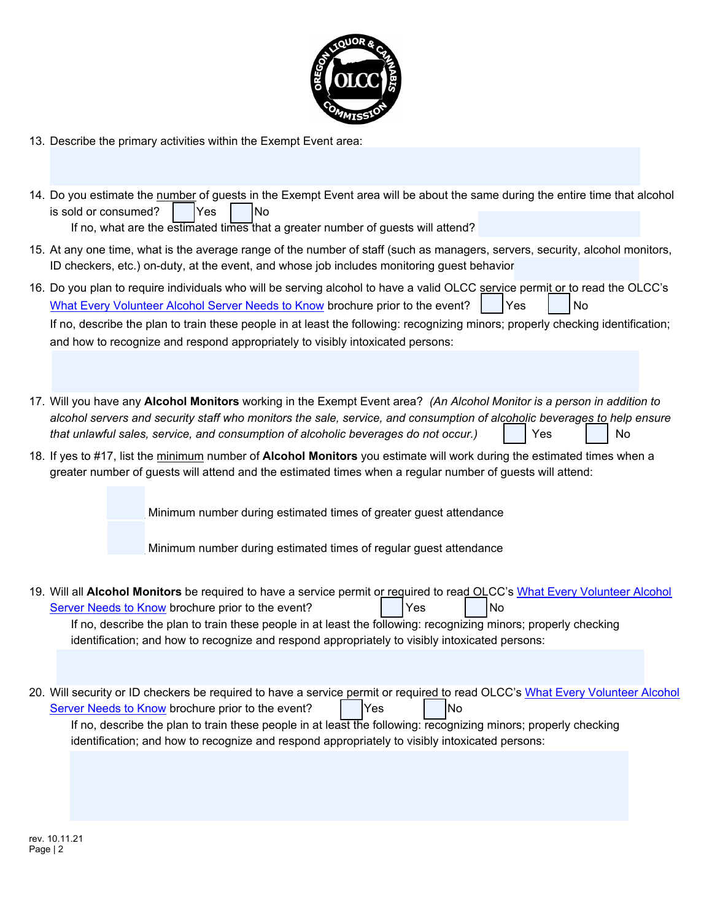

13. Describe the primary activities within the Exempt Event area:

|                                                                                                                                                                                                                                                                                                                                                         | 14. Do you estimate the number of guests in the Exempt Event area will be about the same during the entire time that alcohol<br>is sold or consumed?<br> No<br>Yes<br>If no, what are the estimated times that a greater number of guests will attend?                                                                                                                                                                |  |  |  |
|---------------------------------------------------------------------------------------------------------------------------------------------------------------------------------------------------------------------------------------------------------------------------------------------------------------------------------------------------------|-----------------------------------------------------------------------------------------------------------------------------------------------------------------------------------------------------------------------------------------------------------------------------------------------------------------------------------------------------------------------------------------------------------------------|--|--|--|
| 15. At any one time, what is the average range of the number of staff (such as managers, servers, security, alcohol monitors,<br>ID checkers, etc.) on-duty, at the event, and whose job includes monitoring guest behavior                                                                                                                             |                                                                                                                                                                                                                                                                                                                                                                                                                       |  |  |  |
|                                                                                                                                                                                                                                                                                                                                                         | 16. Do you plan to require individuals who will be serving alcohol to have a valid OLCC service permit or to read the OLCC's<br>What Every Volunteer Alcohol Server Needs to Know brochure prior to the event?<br>Yes<br>No                                                                                                                                                                                           |  |  |  |
|                                                                                                                                                                                                                                                                                                                                                         | If no, describe the plan to train these people in at least the following: recognizing minors; properly checking identification;<br>and how to recognize and respond appropriately to visibly intoxicated persons:                                                                                                                                                                                                     |  |  |  |
|                                                                                                                                                                                                                                                                                                                                                         |                                                                                                                                                                                                                                                                                                                                                                                                                       |  |  |  |
| 17. Will you have any Alcohol Monitors working in the Exempt Event area? (An Alcohol Monitor is a person in addition to<br>alcohol servers and security staff who monitors the sale, service, and consumption of alcoholic beverages to help ensure<br>that unlawful sales, service, and consumption of alcoholic beverages do not occur.)<br>No<br>Yes |                                                                                                                                                                                                                                                                                                                                                                                                                       |  |  |  |
| 18. If yes to #17, list the minimum number of Alcohol Monitors you estimate will work during the estimated times when a<br>greater number of guests will attend and the estimated times when a regular number of guests will attend:                                                                                                                    |                                                                                                                                                                                                                                                                                                                                                                                                                       |  |  |  |
|                                                                                                                                                                                                                                                                                                                                                         | Minimum number during estimated times of greater guest attendance                                                                                                                                                                                                                                                                                                                                                     |  |  |  |
|                                                                                                                                                                                                                                                                                                                                                         | Minimum number during estimated times of regular guest attendance                                                                                                                                                                                                                                                                                                                                                     |  |  |  |
|                                                                                                                                                                                                                                                                                                                                                         | 19. Will all Alcohol Monitors be required to have a service permit or required to read OLCC's What Every Volunteer Alcohol<br>No<br>Server Needs to Know brochure prior to the event?<br>Yes<br>If no, describe the plan to train these people in at least the following: recognizing minors; properly checking<br>identification; and how to recognize and respond appropriately to visibly intoxicated persons:     |  |  |  |
|                                                                                                                                                                                                                                                                                                                                                         |                                                                                                                                                                                                                                                                                                                                                                                                                       |  |  |  |
|                                                                                                                                                                                                                                                                                                                                                         | 20. Will security or ID checkers be required to have a service permit or required to read OLCC's What Every Volunteer Alcohol<br>Server Needs to Know brochure prior to the event?<br>Yes<br>lNo<br>If no, describe the plan to train these people in at least the following: recognizing minors; properly checking<br>identification; and how to recognize and respond appropriately to visibly intoxicated persons: |  |  |  |
|                                                                                                                                                                                                                                                                                                                                                         |                                                                                                                                                                                                                                                                                                                                                                                                                       |  |  |  |